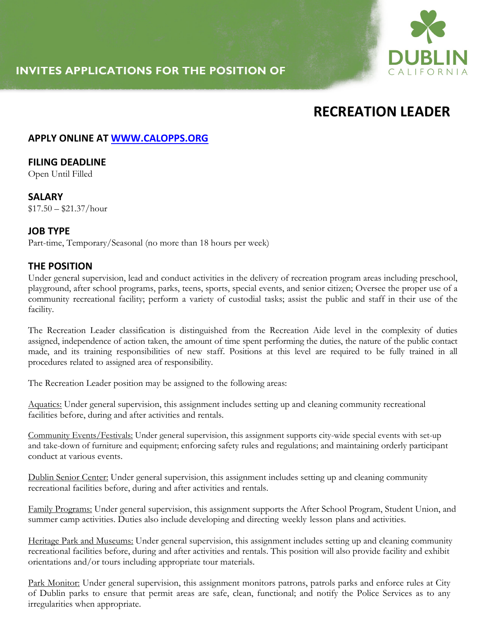## **INVITES APPLICATIONS FOR THE POSITION OF**



# **RECREATION LEADER**

### **APPLY ONLINE AT WWW.CALOPPS.ORG**

## **FILING DEADLINE**

Open Until Filled

## **SALARY**

 $$17.50 - $21.37/hour$ 

#### **JOB TYPE**

Part-time, Temporary/Seasonal (no more than 18 hours per week)

#### **THE POSITION**

Under general supervision, lead and conduct activities in the delivery of recreation program areas including preschool, playground, after school programs, parks, teens, sports, special events, and senior citizen; Oversee the proper use of a community recreational facility; perform a variety of custodial tasks; assist the public and staff in their use of the facility.

The Recreation Leader classification is distinguished from the Recreation Aide level in the complexity of duties assigned, independence of action taken, the amount of time spent performing the duties, the nature of the public contact made, and its training responsibilities of new staff. Positions at this level are required to be fully trained in all procedures related to assigned area of responsibility.

The Recreation Leader position may be assigned to the following areas:

Aquatics: Under general supervision, this assignment includes setting up and cleaning community recreational facilities before, during and after activities and rentals.

Community Events/Festivals: Under general supervision, this assignment supports city-wide special events with set-up and take-down of furniture and equipment; enforcing safety rules and regulations; and maintaining orderly participant conduct at various events.

Dublin Senior Center: Under general supervision, this assignment includes setting up and cleaning community recreational facilities before, during and after activities and rentals.

Family Programs: Under general supervision, this assignment supports the After School Program, Student Union, and summer camp activities. Duties also include developing and directing weekly lesson plans and activities.

Heritage Park and Museums: Under general supervision, this assignment includes setting up and cleaning community recreational facilities before, during and after activities and rentals. This position will also provide facility and exhibit orientations and/or tours including appropriate tour materials.

Park Monitor: Under general supervision, this assignment monitors patrons, patrols parks and enforce rules at City of Dublin parks to ensure that permit areas are safe, clean, functional; and notify the Police Services as to any irregularities when appropriate.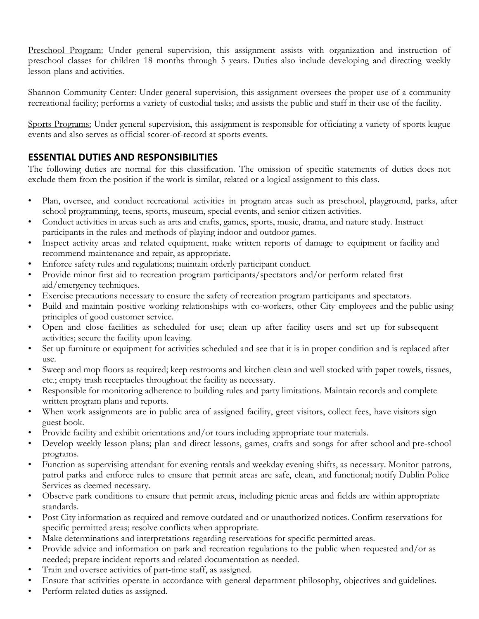Preschool Program: Under general supervision, this assignment assists with organization and instruction of preschool classes for children 18 months through 5 years. Duties also include developing and directing weekly lesson plans and activities.

Shannon Community Center: Under general supervision, this assignment oversees the proper use of a community recreational facility; performs a variety of custodial tasks; and assists the public and staff in their use of the facility.

Sports Programs: Under general supervision, this assignment is responsible for officiating a variety of sports league events and also serves as official scorer-of-record at sports events.

### **ESSENTIAL DUTIES AND RESPONSIBILITIES**

The following duties are normal for this classification. The omission of specific statements of duties does not exclude them from the position if the work is similar, related or a logical assignment to this class.

- Plan, oversee, and conduct recreational activities in program areas such as preschool, playground, parks, after school programming, teens, sports, museum, special events, and senior citizen activities.
- Conduct activities in areas such as arts and crafts, games, sports, music, drama, and nature study. Instruct participants in the rules and methods of playing indoor and outdoor games.
- Inspect activity areas and related equipment, make written reports of damage to equipment or facility and recommend maintenance and repair, as appropriate.
- Enforce safety rules and regulations; maintain orderly participant conduct.
- Provide minor first aid to recreation program participants/spectators and/or perform related first aid/emergency techniques.
- Exercise precautions necessary to ensure the safety of recreation program participants and spectators.
- Build and maintain positive working relationships with co-workers, other City employees and the public using principles of good customer service.
- Open and close facilities as scheduled for use; clean up after facility users and set up for subsequent activities; secure the facility upon leaving.
- Set up furniture or equipment for activities scheduled and see that it is in proper condition and is replaced after use.
- Sweep and mop floors as required; keep restrooms and kitchen clean and well stocked with paper towels, tissues, etc.; empty trash receptacles throughout the facility as necessary.
- Responsible for monitoring adherence to building rules and party limitations. Maintain records and complete written program plans and reports.
- When work assignments are in public area of assigned facility, greet visitors, collect fees, have visitors sign guest book.
- Provide facility and exhibit orientations and/or tours including appropriate tour materials.
- Develop weekly lesson plans; plan and direct lessons, games, crafts and songs for after school and pre-school programs.
- Function as supervising attendant for evening rentals and weekday evening shifts, as necessary. Monitor patrons, patrol parks and enforce rules to ensure that permit areas are safe, clean, and functional; notify Dublin Police Services as deemed necessary.
- Observe park conditions to ensure that permit areas, including picnic areas and fields are within appropriate standards.
- Post City information as required and remove outdated and or unauthorized notices. Confirm reservations for specific permitted areas; resolve conflicts when appropriate.
- Make determinations and interpretations regarding reservations for specific permitted areas.
- Provide advice and information on park and recreation regulations to the public when requested and/or as needed; prepare incident reports and related documentation as needed.
- Train and oversee activities of part-time staff, as assigned.
- Ensure that activities operate in accordance with general department philosophy, objectives and guidelines.
- Perform related duties as assigned.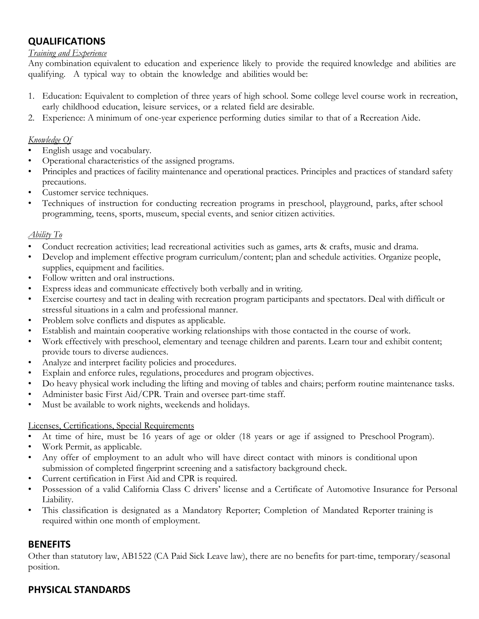## **QUALIFICATIONS**

#### *Training and Experience*

Any combination equivalent to education and experience likely to provide the required knowledge and abilities are qualifying. A typical way to obtain the knowledge and abilities would be:

- 1. Education: Equivalent to completion of three years of high school. Some college level course work in recreation, early childhood education, leisure services, or a related field are desirable.
- 2. Experience: A minimum of one-year experience performing duties similar to that of a Recreation Aide.

#### *Knowledge Of*

- English usage and vocabulary.
- Operational characteristics of the assigned programs.
- Principles and practices of facility maintenance and operational practices. Principles and practices of standard safety precautions.
- Customer service techniques.
- Techniques of instruction for conducting recreation programs in preschool, playground, parks, after school programming, teens, sports, museum, special events, and senior citizen activities.

#### *Ability To*

- Conduct recreation activities; lead recreational activities such as games, arts & crafts, music and drama.
- Develop and implement effective program curriculum/content; plan and schedule activities. Organize people, supplies, equipment and facilities.
- Follow written and oral instructions.
- Express ideas and communicate effectively both verbally and in writing.
- Exercise courtesy and tact in dealing with recreation program participants and spectators. Deal with difficult or stressful situations in a calm and professional manner.
- Problem solve conflicts and disputes as applicable.
- Establish and maintain cooperative working relationships with those contacted in the course of work.
- Work effectively with preschool, elementary and teenage children and parents. Learn tour and exhibit content; provide tours to diverse audiences.
- Analyze and interpret facility policies and procedures.
- Explain and enforce rules, regulations, procedures and program objectives.
- Do heavy physical work including the lifting and moving of tables and chairs; perform routine maintenance tasks.
- Administer basic First Aid/CPR. Train and oversee part-time staff.
- Must be available to work nights, weekends and holidays.

#### Licenses, Certifications, Special Requirements

- At time of hire, must be 16 years of age or older (18 years or age if assigned to Preschool Program).
- Work Permit, as applicable.
- Any offer of employment to an adult who will have direct contact with minors is conditional upon submission of completed fingerprint screening and a satisfactory background check.
- Current certification in First Aid and CPR is required.
- Possession of a valid California Class C drivers' license and a Certificate of Automotive Insurance for Personal Liability.
- This classification is designated as a Mandatory Reporter; Completion of Mandated Reporter training is required within one month of employment.

## **BENEFITS**

Other than statutory law, AB1522 (CA Paid Sick Leave law), there are no benefits for part-time, temporary/seasonal position.

## **PHYSICAL STANDARDS**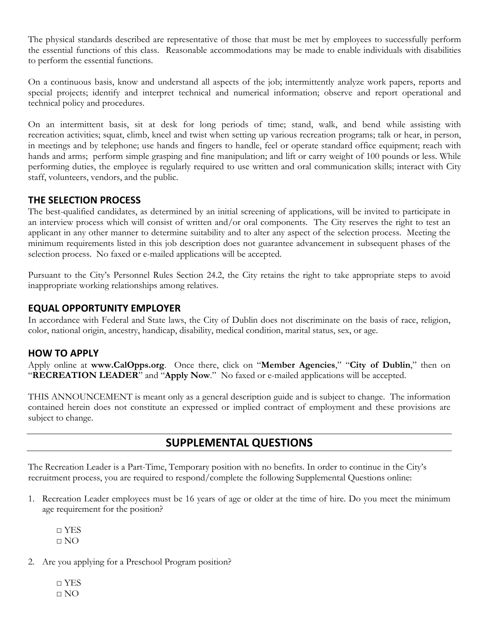The physical standards described are representative of those that must be met by employees to successfully perform the essential functions of this class. Reasonable accommodations may be made to enable individuals with disabilities to perform the essential functions.

On a continuous basis, know and understand all aspects of the job; intermittently analyze work papers, reports and special projects; identify and interpret technical and numerical information; observe and report operational and technical policy and procedures.

On an intermittent basis, sit at desk for long periods of time; stand, walk, and bend while assisting with recreation activities; squat, climb, kneel and twist when setting up various recreation programs; talk or hear, in person, in meetings and by telephone; use hands and fingers to handle, feel or operate standard office equipment; reach with hands and arms; perform simple grasping and fine manipulation; and lift or carry weight of 100 pounds or less. While performing duties, the employee is regularly required to use written and oral communication skills; interact with City staff, volunteers, vendors, and the public.

#### **THE SELECTION PROCESS**

The best-qualified candidates, as determined by an initial screening of applications, will be invited to participate in an interview process which will consist of written and/or oral components. The City reserves the right to test an applicant in any other manner to determine suitability and to alter any aspect of the selection process. Meeting the minimum requirements listed in this job description does not guarantee advancement in subsequent phases of the selection process. No faxed or e-mailed applications will be accepted.

Pursuant to the City's Personnel Rules Section 24.2, the City retains the right to take appropriate steps to avoid inappropriate working relationships among relatives.

#### **EQUAL OPPORTUNITY EMPLOYER**

In accordance with Federal and State laws, the City of Dublin does not discriminate on the basis of race, religion, color, national origin, ancestry, handicap, disability, medical condition, marital status, sex, or age.

#### **HOW TO APPLY**

Apply online at **www.CalOpps.org**. Once there, click on "**Member Agencies**," "**City of Dublin**," then on "**RECREATION LEADER**" and "**Apply Now**." No faxed or e-mailed applications will be accepted.

THIS ANNOUNCEMENT is meant only as a general description guide and is subject to change. The information contained herein does not constitute an expressed or implied contract of employment and these provisions are subject to change.

## **SUPPLEMENTAL QUESTIONS**

The Recreation Leader is a Part-Time, Temporary position with no benefits. In order to continue in the City's recruitment process, you are required to respond/complete the following Supplemental Questions online:

1. Recreation Leader employees must be 16 years of age or older at the time of hire. Do you meet the minimum age requirement for the position?

 $\neg$  YES  $\Box$  NO

- 2. Are you applying for a Preschool Program position?
	- □ YES □ NO